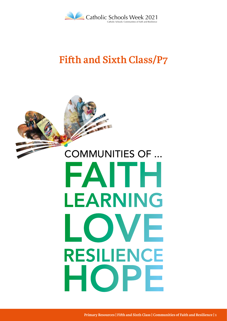

# **Fifth and Sixth Class/P7**

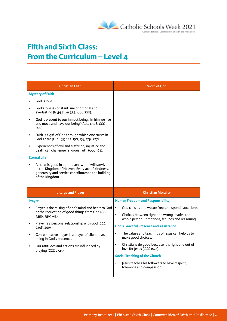

# **Fifth and Sixth Class: From the Curriculum – Level 4**

| God calls us and we are free to respond (vocation).                                             |
|-------------------------------------------------------------------------------------------------|
| Choices between right and wrong involve the<br>whole person - emotions, feelings and reasoning. |
|                                                                                                 |
| The values and teachings of Jesus can help us to                                                |
| Christians do good because it is right and out of                                               |
|                                                                                                 |
| Jesus teaches his followers to have respect,                                                    |
|                                                                                                 |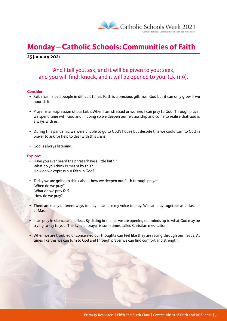

# **Monday – Catholic Schools: Communities of Faith**

#### **25 January 2021**

## 'And I tell you, ask, and it will be given to you; seek, and you will find; knock, and it will be opened to you' (Lk 11:9).

#### **Consider:**

- Faith has helped people in difficult times. Faith is a precious gift from God but it can only grow if we nourish it.
- Prayer is an expression of our faith. When I am stressed or worried I can pray to God. Through prayer we spend time with God and in doing so we deepen our relationship and come to realise that God is always with us.
- During this pandemic we were unable to go to God's house but despite this we could turn to God in prayer to ask for help to deal with this crisis.
- God is always listening.

#### **Explore:**

- Have you ever heard the phrase 'have a little faith'? What do you think is meant by this? How do we express our faith in God?
- Today we are going to think about how we deepen our faith through prayer. When do we pray? What do we pray for? How do we pray?
- There are many different ways to pray: I can use my voice to pray. We can pray together as a class or at Mass.
- I can pray in silence and reflect. By sitting in silence we are opening our minds up to what God may be trying to say to you. This type of prayer is sometimes called Christian meditation.
- When we are troubled or concerned our thoughts can feel like they are racing through our heads. At times like this we can turn to God and through prayer we can find comfort and strength.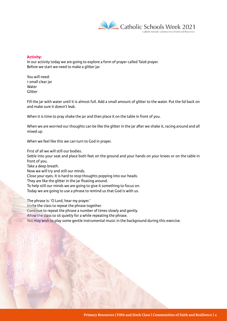

#### **Activity:**

In our activity today we are going to explore a form of prayer called Taizé prayer. Before we start we need to make a glitter jar.

You will need: 1 small clear jar **Water** Glitter

Fill the jar with water until it is almost full. Add a small amount of glitter to the water. Put the lid back on and make sure it doesn't leak.

When it is time to pray shake the jar and then place it on the table in front of you.

When we are worried our thoughts can be like the glitter in the jar after we shake it, racing around and all mixed up.

When we feel like this we can turn to God in prayer.

First of all we will still our bodies.

Settle into your seat and place both feet on the ground and your hands on your knees or on the table in front of you.

Take a deep breath.

Now we will try and still our minds.

Close your eyes. It is hard to stop thoughts popping into our heads.

They are like the glitter in the jar floating around.

To help still our minds we are going to give it something to focus on.

Today we are going to use a phrase to remind us that God is with us.

The phrase is: 'O Lord, hear my prayer.' Invite the class to repeat the phrase together. Continue to repeat the phrase a number of times slowly and gently. Allow the class to sit quietly for a while repeating the phrase. You may wish to play some gentle instrumental music in the background during this exercise.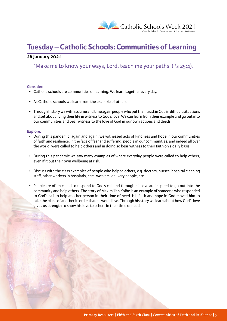

# **Tuesday – Catholic Schools: Communities of Learning**

#### **26 January 2021**

'Make me to know your ways, Lord, teach me your paths' (Ps 25:4).

#### **Consider:**

- Catholic schools are communities of learning. We learn together every day.
- As Catholic schools we learn from the example of others.
- Through history we witness time and time again people who put their trust in God in difficult situations and set about living their life in witness to God's love. We can learn from their example and go out into our communities and bear witness to the love of God in our own actions and deeds.

#### **Explore:**

- During this pandemic, again and again, we witnessed acts of kindness and hope in our communities of faith and resilience. In the face of fear and suffering, people in our communities, and indeed all over the world, were called to help others and in doing so bear witness to their faith on a daily basis.
- During this pandemic we saw many examples of where everyday people were called to help others, even if it put their own wellbeing at risk.
- Discuss with the class examples of people who helped others, e.g. doctors, nurses, hospital cleaning staff, other workers in hospitals, care-workers, delivery people, etc.
- People are often called to respond to God's call and through his love are inspired to go out into the community and help others. The story of Maximilian Kolbe is an example of someone who responded to God's call to help another person in their time of need. His faith and hope in God moved him to take the place of another in order that he would live. Through his story we learn about how God's love gives us strength to show his love to others in their time of need.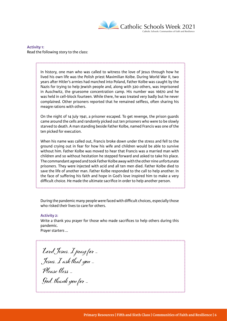

**Activity 1:** Read the following story to the class:

> In history, one man who was called to witness the love of Jesus through how he lived his own life was the Polish priest Maximilian Kolbe. During World War II, two years after Hitler's armies had marched into Poland, Father Kolbe was caught by the Nazis for trying to help Jewish people and, along with 320 others, was imprisoned in Auschwitz, the gruesome concentration camp. His number was 16670 and he was held in cell-block fourteen. While there, he was treated very badly but he never complained. Other prisoners reported that he remained selfless, often sharing his meagre rations with others.

> On the night of 14 July 1941, a prisoner escaped. To get revenge, the prison guards came around the cells and randomly picked out ten prisoners who were to be slowly starved to death. A man standing beside Father Kolbe, named Francis was one of the ten picked for execution.

> When his name was called out, Francis broke down under the stress and fell to the ground crying out in fear for how his wife and children would be able to survive without him. Father Kolbe was moved to hear that Francis was a married man with children and so without hesitation he stepped forward and asked to take his place. The commandant agreed and took Father Kolbe away with the other nine unfortunate prisoners. They were injected with acid and all ten men died. Father Kolbe died to save the life of another man. Father Kolbe responded to the call to help another. In the face of suffering his faith and hope in God's love inspired him to make a very difficult choice. He made the ultimate sacrifice in order to help another person.

> During the pandemic many people were faced with difficult choices, especially those who risked their lives to care for others.

#### **Activity 2:**

Write a thank you prayer for those who made sacrifices to help others during this pandemic.

Prayer starters ...

**Lord Jesus, I pray for ... Jesus, I ask that you ... Please bless ... God, thank you for ...**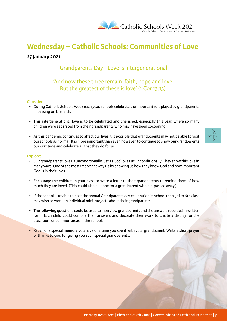

# **Wednesday – Catholic Schools: Communities of Love**

#### **27 January 2021**

## Grandparents Day - Love is intergenerational

### 'And now these three remain: faith, hope and love. But the greatest of these is love' (1 Cor 13:13).

#### **Consider:**

- During Catholic Schools Week each year, schools celebrate the important role played by grandparents in passing on the faith.
- This intergenerational love is to be celebrated and cherished, especially this year, where so many children were separated from their grandparents who may have been cocooning.
- As this pandemic continues to affect our lives it is possible that grandparents may not be able to visit our schools as normal. It is more important than ever, however, to continue to show our grandparents our gratitude and celebrate all that they do for us.



#### **Explore:**

- Our grandparents love us unconditionally just as God loves us unconditionally. They show this love in many ways. One of the most important ways is by showing us how they know God and how important God is in their lives.
- Encourage the children in your class to write a letter to their grandparents to remind them of how much they are loved. (This could also be done for a grandparent who has passed away.)
- If the school is unable to host the annual Grandparents day celebration in school then 3rd to 6th class may wish to work on individual mini-projects about their grandparents.
- The following questions could be used to interview grandparents and the answers recorded in written form. Each child could compile their answers and decorate their work to create a display for the classroom or common areas in the school.
- Recall one special memory you have of a time you spent with your grandparent. Write a short prayer of thanks to God for giving you such special grandparents.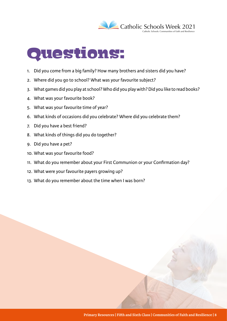

# Questions:

- 1. Did you come from a big family? How many brothers and sisters did you have?
- 2. Where did you go to school? What was your favourite subject?
- 3. What games did you play at school? Who did you play with? Did you like to read books?
- 4. What was your favourite book?
- 5. What was your favourite time of year?
- 6. What kinds of occasions did you celebrate? Where did you celebrate them?
- 7. Did you have a best friend?
- 8. What kinds of things did you do together?
- 9. Did you have a pet?
- 10. What was your favourite food?
- 11. What do you remember about your First Communion or your Confirmation day?
- 12. What were your favourite payers growing up?
- 13. What do you remember about the time when I was born?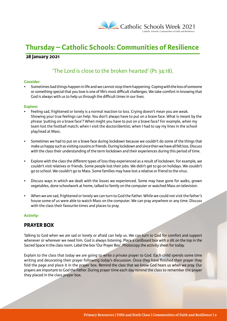

# **Thursday – Catholic Schools: Communities of Resilience**

#### **28 January 2021**

## 'The Lord is close to the broken hearted' (Ps 34:18).

#### **Consider:**

• Sometimes bad things happen in life and we cannot stop them happening. Coping with the loss of someone or something special that you love is one of life's most difficult challenges. We take comfort in knowing that God is always with us to help us through the difficult times in our lives.

#### **Explore:**

- Feeling sad, frightened or lonely is a normal reaction to loss. Crying doesn't mean you are weak. Showing your true feelings can help. You don't always have to put on a brave face. What is meant by the phrase 'putting on a brave face'? When might you have to put on a brave face? For example, when my team lost the football match; when I visit the doctor/dentist; when I had to say my lines in the school play/read at Mass.
- Sometimes we had to put on a brave face during lockdown because we couldn't do some of the things that make us happy such as visiting cousins or friends. During lockdown and since then we have all felt loss. Discuss with the class their understanding of the term lockdown and their experiences during this period of time.
- Explore with the class the different types of loss they experienced as a result of lockdown. For example, we couldn't visit relatives or friends. Some people lost their jobs. We didn't get to go on holidays. We couldn't go to school. We couldn't go to Mass. Some families may have lost a relative or friend to the virus.
- Discuss ways in which we dealt with the losses we experienced. Some may have gone for walks, grown vegetables, done schoolwork at home, talked to family on the computer or watched Mass on television.
- When we are sad, frightened or lonely we can turn to God the Father. While we could not visit the father's house some of us were able to watch Mass on the computer. We can pray anywhere or any time. Discuss with the class their favourite times and places to pray.

#### **Activity:**

#### **PRAYER BOX**

Talking to God when we are sad or lonely or afraid can help us. We can turn to God for comfort and support whenever or wherever we need him. God is always listening. Place a cardboard box with a slit on the top in the Sacred Space in the class room. Label the box 'Our Prayer Box'. Photocopy the activity sheet for today.

Explain to the class that today we are going to write a private prayer to God. Each child spends some time writing and decorating their prayer following today's discussion. Once they have finished their prayer they fold the page and place it in the prayer box. Remind the class that we know God hears us when we pray. Our prayers are important to God the Father. During prayer time each day remind the class to remember the prayer they placed in the class prayer box.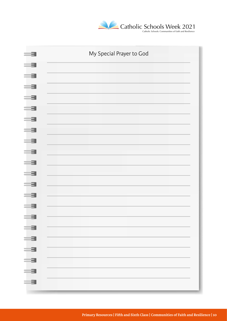

| 3<br>$\equiv$                                                                                                                                                                                                                                                                                                                                                               | My Special Prayer to God |
|-----------------------------------------------------------------------------------------------------------------------------------------------------------------------------------------------------------------------------------------------------------------------------------------------------------------------------------------------------------------------------|--------------------------|
| $=$ 3                                                                                                                                                                                                                                                                                                                                                                       |                          |
| $\equiv$ 31                                                                                                                                                                                                                                                                                                                                                                 |                          |
| $\equiv$ 31                                                                                                                                                                                                                                                                                                                                                                 |                          |
| <u>ا جنب</u>                                                                                                                                                                                                                                                                                                                                                                |                          |
| $\equiv$ 31                                                                                                                                                                                                                                                                                                                                                                 |                          |
| $=$ 3                                                                                                                                                                                                                                                                                                                                                                       |                          |
| $= 3$<br>$\equiv$ 3                                                                                                                                                                                                                                                                                                                                                         |                          |
| $=$ 3                                                                                                                                                                                                                                                                                                                                                                       |                          |
| $=$ 3                                                                                                                                                                                                                                                                                                                                                                       |                          |
| a se                                                                                                                                                                                                                                                                                                                                                                        |                          |
| <u>= 3</u>                                                                                                                                                                                                                                                                                                                                                                  |                          |
| <u>=3</u>                                                                                                                                                                                                                                                                                                                                                                   |                          |
| 3                                                                                                                                                                                                                                                                                                                                                                           |                          |
| $\equiv$                                                                                                                                                                                                                                                                                                                                                                    |                          |
| <u>= = 1</u>                                                                                                                                                                                                                                                                                                                                                                |                          |
| $=$ $\overline{z}$ $\overline{z}$ $\overline{z}$ $\overline{z}$ $\overline{z}$ $\overline{z}$ $\overline{z}$ $\overline{z}$ $\overline{z}$ $\overline{z}$ $\overline{z}$ $\overline{z}$ $\overline{z}$ $\overline{z}$ $\overline{z}$ $\overline{z}$ $\overline{z}$ $\overline{z}$ $\overline{z}$ $\overline{z}$ $\overline{z}$ $\overline{z}$ $\overline{z}$ $\overline{z}$ |                          |
| $= 3$                                                                                                                                                                                                                                                                                                                                                                       |                          |
| <u>start</u><br>$=$ 3                                                                                                                                                                                                                                                                                                                                                       |                          |
| $\equiv$ 3                                                                                                                                                                                                                                                                                                                                                                  |                          |
|                                                                                                                                                                                                                                                                                                                                                                             |                          |